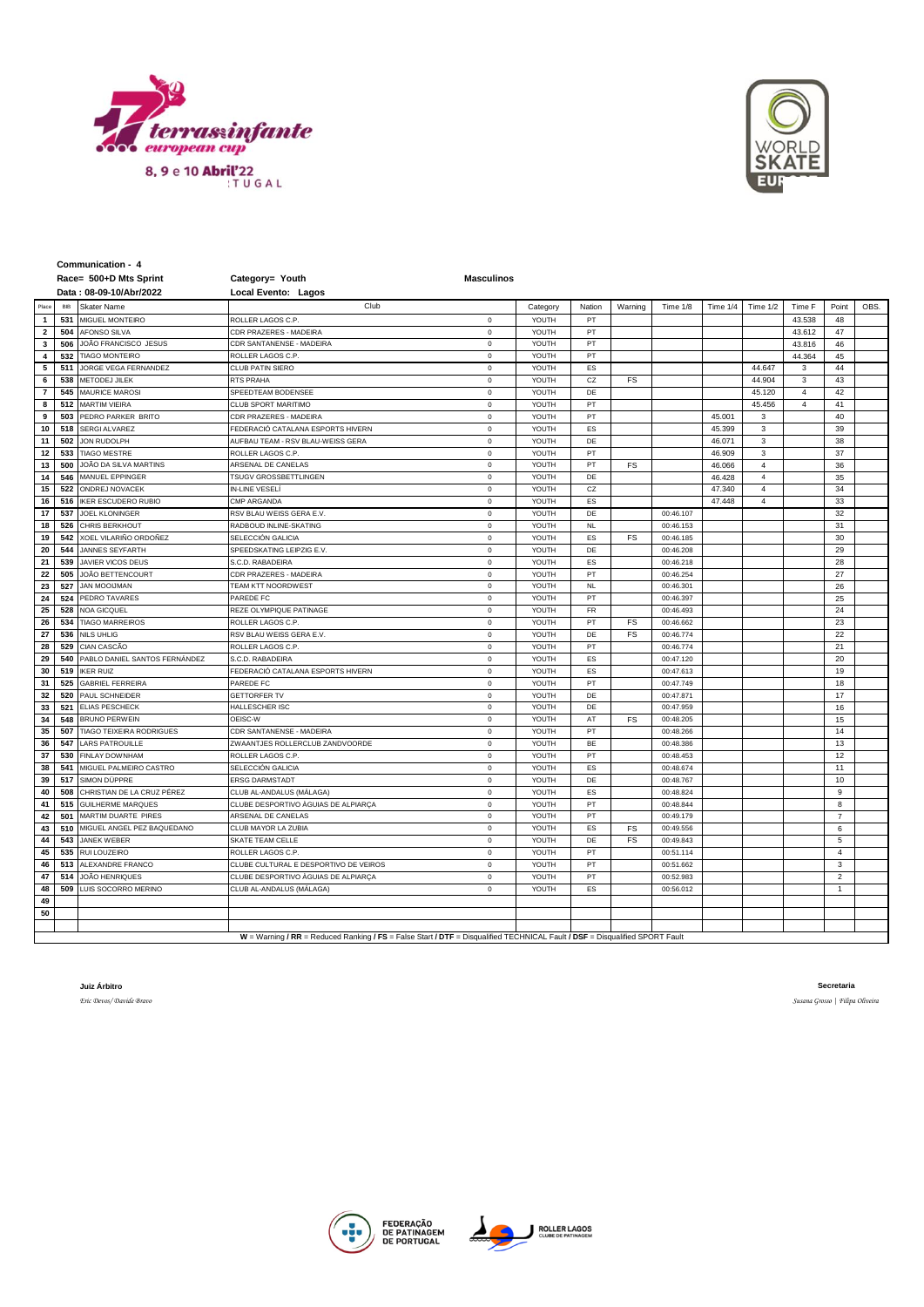



**Communication - 4**

|                         |     | Race= 500+D Mts Sprint          | Category= Youth                                                                                                             | <b>Masculinos</b> |          |                      |           |           |          |                |                |                |      |
|-------------------------|-----|---------------------------------|-----------------------------------------------------------------------------------------------------------------------------|-------------------|----------|----------------------|-----------|-----------|----------|----------------|----------------|----------------|------|
|                         |     | Data: 08-09-10/Abr/2022         | Local Evento: Lagos                                                                                                         |                   |          |                      |           |           |          |                |                |                |      |
| Place                   | BIB | Skater Name                     | Club                                                                                                                        |                   | Category | Nation               | Warning   | Time 1/8  | Time 1/4 | Time 1/2       | Time F         | Point          | OBS. |
| $\mathbf{1}$            | 531 | MIGUEL MONTEIRO                 | ROLLER LAGOS C.P.                                                                                                           | $\mathbf 0$       | YOUTH    | PT                   |           |           |          |                | 43.538         | 48             |      |
| $\overline{2}$          | 504 | <b>AFONSO SILVA</b>             | CDR PRAZERES - MADEIRA                                                                                                      | $\mathbf 0$       | YOUTH    | PT                   |           |           |          |                | 43.612         | 47             |      |
| 3                       | 506 | JOÃO FRANCISCO JESUS            | CDR SANTANENSE - MADEIRA                                                                                                    | $\mathbf 0$       | YOUTH    | PT                   |           |           |          |                | 43.816         | 46             |      |
| $\overline{\mathbf{4}}$ | 532 | <b>TIAGO MONTEIRO</b>           | ROLLER LAGOS C.P.                                                                                                           | $\mathbf 0$       | YOUTH    | PT                   |           |           |          |                | 44.364         | 45             |      |
| 5                       | 511 | JORGE VEGA FERNANDEZ            | CLUB PATIN SIERO                                                                                                            | $\,$ 0            | YOUTH    | ES                   |           |           |          | 44.647         | 3              | 44             |      |
| 6                       | 538 | METODEJ JILEK                   | RTS PRAHA                                                                                                                   | $\mathbf 0$       | YOUTH    | CZ                   | FS        |           |          | 44.904         | 3              | 43             |      |
| $\overline{7}$          | 545 | <b>MAURICE MAROSI</b>           | SPEEDTEAM BODENSEE                                                                                                          | $\circ$           | YOUTH    | DE                   |           |           |          | 45.120         | $\overline{4}$ | 42             |      |
| 8                       | 512 | <b>MARTIM VIEIRA</b>            | CLUB SPORT MARITIMO                                                                                                         | $\,$ 0            | YOUTH    | PT                   |           |           |          | 45.456         | $\overline{4}$ | 41             |      |
| 9                       | 503 | PEDRO PARKER BRITO              | CDR PRAZERES - MADEIRA                                                                                                      | $\mathbf 0$       | YOUTH    | PT                   |           |           | 45.001   | 3              |                | 40             |      |
| 10                      | 518 | SERGI ALVAREZ                   | FEDERACIÓ CATALANA ESPORTS HIVERN                                                                                           | $\mathbf 0$       | YOUTH    | ES                   |           |           | 45.399   | 3              |                | 39             |      |
| 11                      | 502 | JON RUDOLPH                     | AUFBAU TEAM - RSV BLAU-WEISS GERA                                                                                           | $\mathbf 0$       | YOUTH    | DE                   |           |           | 46.071   | 3              |                | 38             |      |
| 12                      | 533 | <b>TIAGO MESTRE</b>             | ROLLER LAGOS C.P.                                                                                                           | $\mathbf 0$       | YOUTH    | PT                   |           |           | 46.909   | 3              |                | 37             |      |
| 13                      | 500 | JOÃO DA SILVA MARTINS           | ARSENAL DE CANELAS                                                                                                          | $\,$ 0            | YOUTH    | PT                   | FS        |           | 46.066   | $\bf{4}$       |                | 36             |      |
| 14                      | 546 | MANUEL EPPINGER                 | TSUGV GROSSBETTLINGEN                                                                                                       | $\mathbf 0$       | YOUTH    | DE                   |           |           | 46.428   | $\sqrt{4}$     |                | 35             |      |
| 15                      | 522 | <b>ONDREJ NOVACEK</b>           | <b>IN-LINE VESEL</b>                                                                                                        | $\mathbf 0$       | YOUTH    | CZ                   |           |           | 47.340   | $\overline{4}$ |                | 34             |      |
| 16                      | 516 | <b>IKER ESCUDERO RUBIO</b>      | CMP ARGANDA                                                                                                                 | $\mathbf 0$       | YOUTH    | ES                   |           |           | 47.448   | $\overline{4}$ |                | 33             |      |
| 17                      | 537 | <b>JOEL KLONINGER</b>           | RSV BLAU WEISS GERA E.V.                                                                                                    | $\mathbf 0$       | YOUTH    | DE                   |           | 00:46.107 |          |                |                | 32             |      |
| 18                      | 526 | CHRIS BERKHOUT                  | RADBOUD INLINE-SKATING                                                                                                      | $\,$ 0            | YOUTH    | <b>NL</b>            |           | 00:46.153 |          |                |                | 31             |      |
| 19                      | 542 | XOEL VILARIÑO ORDOÑEZ           | SELECCIÓN GALICIA                                                                                                           | $\mathbf 0$       | YOUTH    | ES                   | FS        | 00:46.185 |          |                |                | 30             |      |
| 20                      | 544 | <b>JANNES SEYFARTH</b>          | SPEEDSKATING LEIPZIG E.V.                                                                                                   | $\mathbf 0$       | YOUTH    | DE                   |           | 00:46.208 |          |                |                | 29             |      |
| 21                      | 539 | JAVIER VICOS DEUS               | S.C.D. RABADEIRA                                                                                                            | $\mathbf 0$       | YOUTH    | ES                   |           | 00:46.218 |          |                |                | 28             |      |
| 22                      | 505 | <b>JOÃO BETTENCOURT</b>         | CDR PRAZERES - MADEIRA                                                                                                      | $\mathbf 0$       | YOUTH    | PT                   |           | 00:46.254 |          |                |                | 27             |      |
| 23                      | 527 | <b>JAN MOOIJMAN</b>             | TEAM KTT NOORDWEST                                                                                                          | $\,$ 0            | YOUTH    | $\mathsf{NL}\xspace$ |           | 00:46.301 |          |                |                | 26             |      |
| 24                      | 524 | PEDRO TAVARES                   | PAREDE FC                                                                                                                   | $\mathbf 0$       | YOUTH    | PT                   |           | 00:46.397 |          |                |                | 25             |      |
| 25                      | 528 | <b>NOA GICQUEL</b>              | REZE OLYMPIQUE PATINAGE                                                                                                     | $\mathbf 0$       | YOUTH    | FR                   |           | 00:46.493 |          |                |                | 24             |      |
| 26                      | 534 | <b>TIAGO MARREIROS</b>          | ROLLER LAGOS C.P.                                                                                                           | $\mathbf 0$       | YOUTH    | PT                   | FS        | 00:46.662 |          |                |                | 23             |      |
| 27                      | 536 | <b>NILS UHLIG</b>               | RSV BLAU WEISS GERA E.V.                                                                                                    | $\mathbf 0$       | YOUTH    | DE                   | <b>FS</b> | 00:46.774 |          |                |                | 22             |      |
| 28                      | 529 | CIAN CASCÃO                     | ROLLER LAGOS C.P.                                                                                                           | $\,$ 0            | YOUTH    | PT                   |           | 00:46.774 |          |                |                | 21             |      |
| 29                      | 540 | PABLO DANIEL SANTOS FERNÁNDEZ   | S.C.D. RABADEIRA                                                                                                            | $\mathbf 0$       | YOUTH    | ES                   |           | 00:47.120 |          |                |                | 20             |      |
| 30                      | 519 | <b>IKER RUIZ</b>                | FEDERACIÓ CATALANA ESPORTS HIVERN                                                                                           | $\mathbf 0$       | YOUTH    | ES                   |           | 00:47.613 |          |                |                | 19             |      |
| 31                      | 525 | GABRIEL FERREIRA                | PAREDE FC                                                                                                                   | $\mathbf 0$       | YOUTH    | PT                   |           | 00:47.749 |          |                |                | 18             |      |
| 32                      | 520 | PAUL SCHNEIDER                  | <b>GETTORFER TV</b>                                                                                                         | $\mathbf 0$       | YOUTH    | DE                   |           | 00:47.871 |          |                |                | 17             |      |
| 33                      | 521 | <b>ELIAS PESCHECK</b>           | HALLESCHER ISC                                                                                                              | $\mathbf 0$       | YOUTH    | DE                   |           | 00:47.959 |          |                |                | 16             |      |
| 34                      | 548 | <b>BRUNO PERWEIN</b>            | OEISC-W                                                                                                                     | $\mathbf 0$       | YOUTH    | AT                   | FS        | 00:48.205 |          |                |                | 15             |      |
| 35                      | 507 | <b>TIAGO TEIXEIRA RODRIGUES</b> | CDR SANTANENSE - MADEIRA                                                                                                    | $\mathbf 0$       | YOUTH    | PT                   |           | 00:48.266 |          |                |                | 14             |      |
| 36                      | 547 | <b>LARS PATROUILLE</b>          | ZWAANTJES ROLLERCLUB ZANDVOORDE                                                                                             | $\mathbf 0$       | YOUTH    | <b>BE</b>            |           | 00:48.386 |          |                |                | 13             |      |
| 37                      | 530 | <b>FINLAY DOWNHAM</b>           | ROLLER LAGOS C.P.                                                                                                           | $\mathbf 0$       | YOUTH    | PT                   |           | 00:48.453 |          |                |                | 12             |      |
| 38                      | 541 | MIGUEL PALMEIRO CASTRO          | SELECCIÓN GALICIA                                                                                                           | $\,$ 0            | YOUTH    | ES                   |           | 00:48.674 |          |                |                | 11             |      |
| 39                      | 517 | SIMON DÜPPRE                    | <b>ERSG DARMSTADT</b>                                                                                                       | $\mathbf 0$       | YOUTH    | DE                   |           | 00:48.767 |          |                |                | 10             |      |
| 40                      | 508 | CHRISTIAN DE LA CRUZ PÉREZ      | CLUB AL-ANDALUS (MÁLAGA)                                                                                                    | $\mathbf 0$       | YOUTH    | ES                   |           | 00:48.824 |          |                |                | 9              |      |
| 41                      | 515 | GUILHERME MARQUES               | CLUBE DESPORTIVO ÀGUIAS DE ALPIARCA                                                                                         | $\mathbf 0$       | YOUTH    | PT                   |           | 00:48.844 |          |                |                | 8              |      |
| 42                      | 501 | MARTIM DUARTE PIRES             | ARSENAL DE CANELAS                                                                                                          | $\mathbf 0$       | YOUTH    | PT                   |           | 00:49.179 |          |                |                | $\overline{7}$ |      |
| 43                      | 510 | MIGUEL ANGEL PEZ BAQUEDANO      | CLUB MAYOR LA ZUBIA                                                                                                         | $\mathbf 0$       | YOUTH    | ES                   | FS        | 00:49.556 |          |                |                | 6              |      |
| 44                      | 543 | JANEK WEBER                     | SKATE TEAM CELLE                                                                                                            | $\mathbf 0$       | YOUTH    | DE                   | FS        | 00:49.843 |          |                |                | 5              |      |
| 45                      | 535 | RUI LOUZEIRO                    | ROLLER LAGOS C.P.                                                                                                           | $\mathbf 0$       | YOUTH    | PT                   |           | 00:51.114 |          |                |                | $\overline{4}$ |      |
| 46                      | 513 | ALEXANDRE FRANCO                | CLUBE CULTURAL E DESPORTIVO DE VEIROS                                                                                       | $\mathbf 0$       | YOUTH    | PT                   |           | 00:51.662 |          |                |                | 3              |      |
| 47                      | 514 | JOÃO HENRIQUES                  | CLUBE DESPORTIVO ÀGUIAS DE ALPIARÇA                                                                                         | $\mathbf 0$       | YOUTH    | PT                   |           | 00:52.983 |          |                |                | $\overline{2}$ |      |
| 48                      | 509 | LUIS SOCORRO MERINO             | CLUB AL-ANDALUS (MÁLAGA)                                                                                                    | $\mathbf 0$       | YOUTH    | ES                   |           | 00:56.012 |          |                |                | $\mathbf{1}$   |      |
| 49                      |     |                                 |                                                                                                                             |                   |          |                      |           |           |          |                |                |                |      |
| 50                      |     |                                 |                                                                                                                             |                   |          |                      |           |           |          |                |                |                |      |
|                         |     |                                 |                                                                                                                             |                   |          |                      |           |           |          |                |                |                |      |
|                         |     |                                 | W = Warning / RR = Reduced Ranking / FS = False Start / DTF = Disqualified TECHNICAL Fault / DSF = Disqualified SPORT Fault |                   |          |                      |           |           |          |                |                |                |      |

**Juiz Árbitro**

*Eric Devos/ Davide Bravo*

**Secretaria**

*Susana Grosso | Filipa Oliveira*